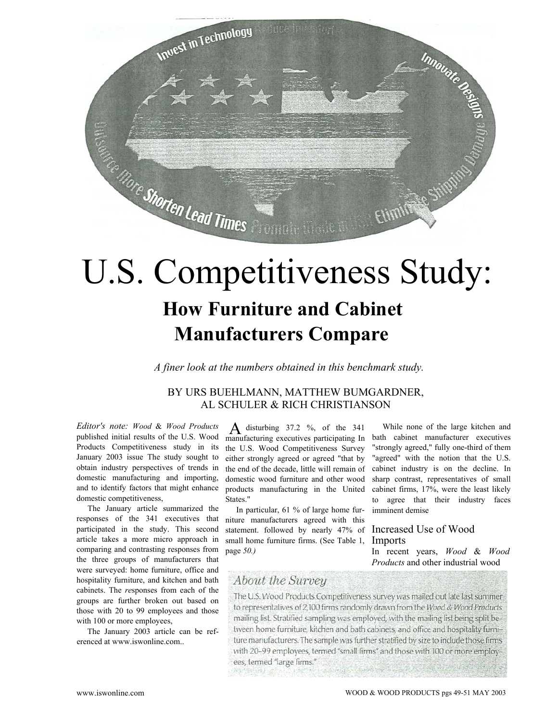

# **How Furniture and Cabinet Manufacturers Compare**

*A finer look at the numbers obtained in this benchmark study.* 

### BY URS BUEHLMANN, MATTHEW BUMGARDNER, AL SCHULER & RICH CHRISTIANSON

*Editor's note: Wood* & *Wood Products*  published initial results of the U.S. Wood Products Competitiveness study in its January 2003 issue The study sought to obtain industry perspectives of trends in domestic manufacturing and importing, and to identify factors that might enhance domestic competitiveness,

The January article summarized the responses of the 341 executives that participated in the study. This second article takes a more micro approach in comparing and contrasting responses from the three groups of manufacturers that were surveyed: home furniture, office and hospitality furniture, and kitchen and bath cabinets. The *re*sponses from each of the groups are further broken out based on those with 20 to 99 employees and those with 100 or more employees,

The January 2003 article can be referenced at www.iswonline.com..

 $\overline{A}$  disturbing 37.2 %, of the 341 manufacturing executives participating In the U.S. Wood Competitiveness Survey either strongly agreed or agreed "that by the end of the decade, little will remain of domestic wood furniture and other wood products manufacturing in the United States."

In particular, 61 % of large home furniture manufacturers agreed with this statement. followed by nearly 47% of small home furniture firms. (See Table 1, page *50.)*

While none of the large kitchen and bath cabinet manufacturer executives "strongly agreed," fully one-third of them "agreed" with the notion that the U.S. cabinet industry is on the decline. In sharp contrast, representatives of small cabinet firms, 17%, were the least likely to agree that their industry faces imminent demise

#### Increased Use of Wood Imports

In recent years, *Wood* & *Wood Products* and other industrial wood

## **About the Survey**

The U.S. Wood Products Competitiveness survey was mailed out late last summer to representatives of 2,100 firms randomly drawn from the Wood & Wood Products mailing list. Stratified sampling was employed, with the mailing list being split between home furniture, kitchen and bath cabinets, and office and hospitality furniture manufacturers. The sample was further stratified by size to include those firms with 20-99 employees, termed "small firms" and those with 100 or more employees, termed "large firms."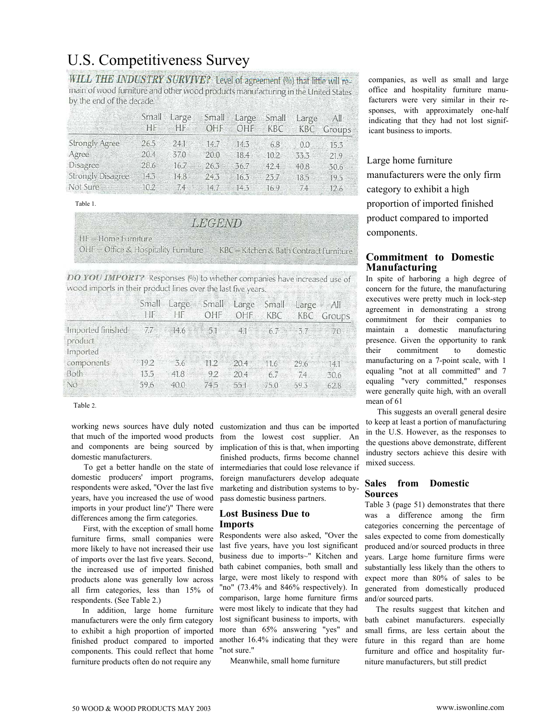# U.S. Competitiveness Survey

WILL THE INDUSTRY SURVIVE? Level of agreement (%) that little will remain of wood furniture and other wood products manufacturing in the United States by the end of the decade.

|                          | Small<br><b>HF</b> | Large<br>HF. | Small<br>OHF | Large<br>OHF | Small<br>KBC | Large<br><b>KBC</b> | All<br>Groups |
|--------------------------|--------------------|--------------|--------------|--------------|--------------|---------------------|---------------|
| <b>Strongly Agree</b>    | 26.5               | 24.1         | 14.7         | 14.3         | 6.8          | 0.0                 | 15.3          |
| Agree                    | 20.4               | 37.0         | 20.0         | 18.4         | 102          | 33.3                | 219           |
| Disagree                 | 28.6               | 16.7         | 26.3         | 36.7         | 424          | 40.8                | 30.6          |
| <b>Strongly Disagree</b> | 14.3               | 14.8         | 24.3         | 16.3         | 23.7         | 18.5                | 19.5          |
| Not Sure                 | 10.2               | 74           | 147          | 143          | 169          | 74                  | 126           |

Table 1.

|                      | LEGEND                                                                       |
|----------------------|------------------------------------------------------------------------------|
|                      |                                                                              |
| $H =$ Home Furniture |                                                                              |
|                      | OHF = Office & Hospitality Furniture KBC = Kitchen & Bath Contract Furniture |

DO YOU IMPORT? Responses (%) to whether companies have increased use of wood imports in their product lines over the last five years.

|                                          | Small<br>НF | Large<br>HF | Small<br>OHF | Large<br>OHF | Small<br>KBC | Large | All<br>KBC Groups |
|------------------------------------------|-------------|-------------|--------------|--------------|--------------|-------|-------------------|
| Imported finished<br>product<br>Imported | 7.7         | 14.6        | 51           | 41           | $67 -$       | $-37$ | $-70$             |
| components                               | 19.2        | 3.6         | 11.2         | 20.4         | 11.6         | 29.6  | 141               |
| Both                                     | 13.5        | 41.8        | 9.2          | 20.4         | 6.7          | 74    | 30.6              |
| No                                       | 596         | 40.0        | 74.5         | 55.1         | 75.0         | 593   | 628               |

Table 2.

working news sources have duly noted customization and thus can be imported that much of the imported wood products and components are being sourced by domestic manufacturers.

To get a better handle on the state of domestic producers' import programs, respondents were asked, "Over the last five years, have you increased the use of wood imports in your product line')" There were differences among the firm categories.

First, with the exception of small home furniture firms, small companies were more likely to have not increased their use of imports over the last five years. Second, the increased use of imported finished products alone was generally low across all firm categories, less than 15% of respondents. (See Table 2.)

In addition, large home furniture manufacturers were the only firm category to exhibit a high proportion of imported finished product compared to imported components. This could reflect that home furniture products often do not require any

from the lowest cost supplier. An implication of this is that, when importing finished products, firms become channel intermediaries that could lose relevance if foreign manufacturers develop adequate marketing and distribution systems to bypass domestic business partners.

#### **Lost Business Due to Imports**

Respondents were also asked, "Over the last five years, have you lost significant business due to imports~" Kitchen and bath cabinet companies, both small and large, were most likely to respond with "no" (73.4% and 846% respectively). In comparison, large home furniture firms were most likely to indicate that they had lost significant business to imports, with more than 65% answering "yes" and another 16.4% indicating that they were "not sure."

Meanwhile, small home furniture

companies, as well as small and large office and hospitality furniture manufacturers were very similar in their responses, with approximately one-half indicating that they had not lost significant business to imports.

Large home furniture

manufacturers were the only firm category to exhibit a high proportion of imported finished product compared to imported components.

#### **Commitment to Domestic Manufacturing**

In spite of harboring a high degree of concern for the future, the manufacturing executives were pretty much in lock-step agreement in demonstrating a strong commitment for their companies to maintain a domestic manufacturing presence. Given the opportunity to rank their commitment to domestic manufacturing on a 7-point scale, with 1 equaling "not at all committed" and 7 equaling "very committed," responses were generally quite high, with an overall mean of 61

This suggests an overall general desire to keep at least a portion of manufacturing in the U.S. However, as the responses to the questions above demonstrate, different industry sectors achieve this desire with mixed success.

#### **Sales from Domestic Sources**

Table 3 (page 51) demonstrates that there was a difference among the firm categories concerning the percentage of sales expected to come from domestically produced and/or sourced products in three years. Large home furniture firms were substantially less likely than the others to expect more than 80% of sales to be generated from domestically produced and/or sourced parts.

The results suggest that kitchen and bath cabinet manufacturers. especially small firms, are less certain about the future in this regard than are home furniture and office and hospitality furniture manufacturers, but still predict